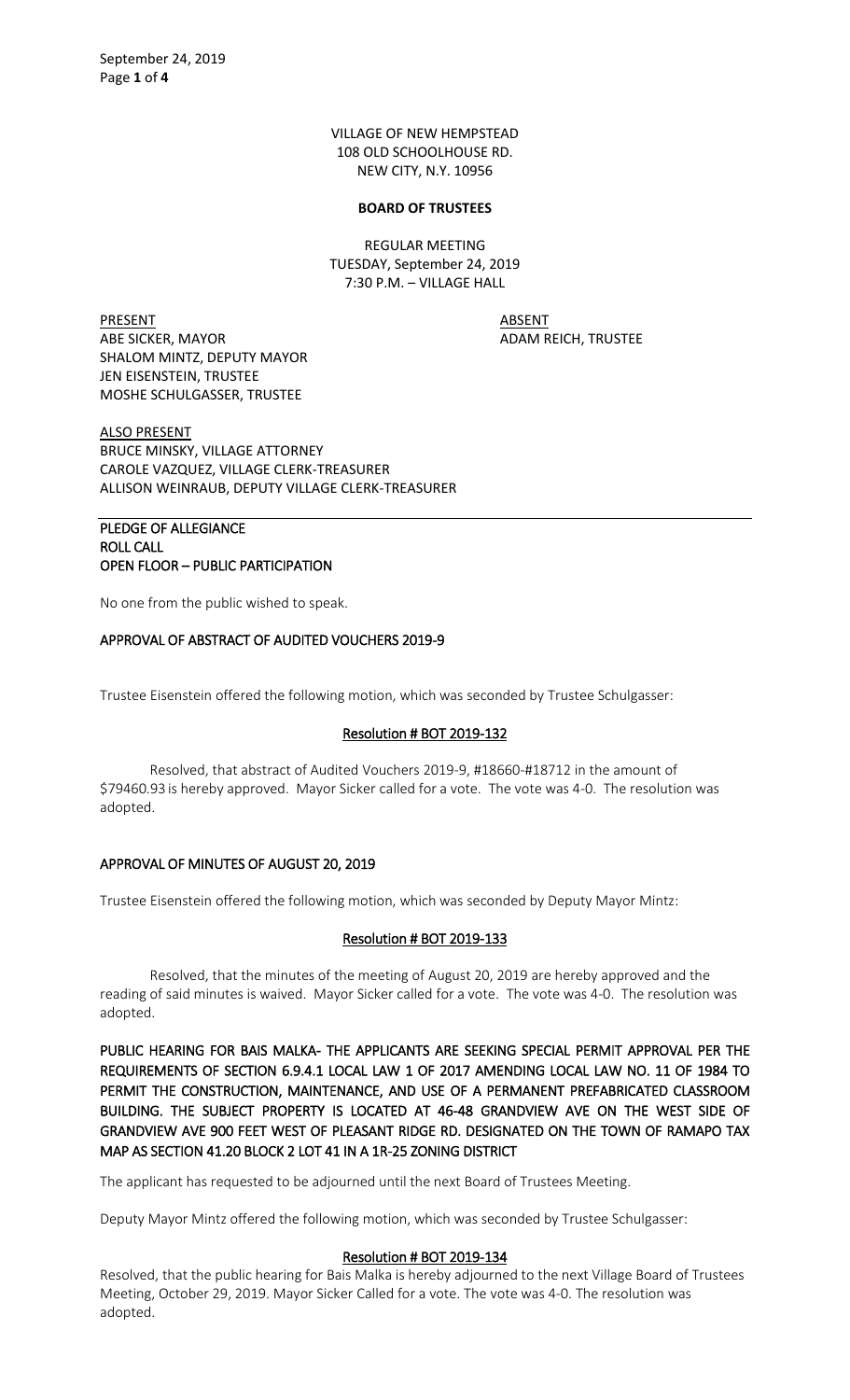VILLAGE OF NEW HEMPSTEAD 108 OLD SCHOOLHOUSE RD. NEW CITY, N.Y. 10956

#### **BOARD OF TRUSTEES**

REGULAR MEETING TUESDAY, September 24, 2019 7:30 P.M. – VILLAGE HALL

PRESENT ABSENT ABE SICKER, MAYOR ADAM REICH, TRUSTEE SHALOM MINTZ, DEPUTY MAYOR JEN EISENSTEIN, TRUSTEE MOSHE SCHULGASSER, TRUSTEE

ALSO PRESENT BRUCE MINSKY, VILLAGE ATTORNEY CAROLE VAZQUEZ, VILLAGE CLERK-TREASURER ALLISON WEINRAUB, DEPUTY VILLAGE CLERK-TREASURER

### PLEDGE OF ALLEGIANCE ROLL CALL OPEN FLOOR – PUBLIC PARTICIPATION

No one from the public wished to speak.

### APPROVAL OF ABSTRACT OF AUDITED VOUCHERS 2019-9

Trustee Eisenstein offered the following motion, which was seconded by Trustee Schulgasser:

## Resolution # BOT 2019-132

Resolved, that abstract of Audited Vouchers 2019-9, #18660-#18712 in the amount of \$79460.93 is hereby approved. Mayor Sicker called for a vote. The vote was 4-0. The resolution was adopted.

### APPROVAL OF MINUTES OF AUGUST 20, 2019

Trustee Eisenstein offered the following motion, which was seconded by Deputy Mayor Mintz:

### Resolution # BOT 2019-133

Resolved, that the minutes of the meeting of August 20, 2019 are hereby approved and the reading of said minutes is waived. Mayor Sicker called for a vote. The vote was 4-0. The resolution was adopted.

PUBLIC HEARING FOR BAIS MALKA- THE APPLICANTS ARE SEEKING SPECIAL PERMIT APPROVAL PER THE REQUIREMENTS OF SECTION 6.9.4.1 LOCAL LAW 1 OF 2017 AMENDING LOCAL LAW NO. 11 OF 1984 TO PERMIT THE CONSTRUCTION, MAINTENANCE, AND USE OF A PERMANENT PREFABRICATED CLASSROOM BUILDING. THE SUBJECT PROPERTY IS LOCATED AT 46-48 GRANDVIEW AVE ON THE WEST SIDE OF GRANDVIEW AVE 900 FEET WEST OF PLEASANT RIDGE RD. DESIGNATED ON THE TOWN OF RAMAPO TAX MAP AS SECTION 41.20 BLOCK 2 LOT 41 IN A 1R-25 ZONING DISTRICT

The applicant has requested to be adjourned until the next Board of Trustees Meeting.

Deputy Mayor Mintz offered the following motion, which was seconded by Trustee Schulgasser:

#### Resolution # BOT 2019-134

Resolved, that the public hearing for Bais Malka is hereby adjourned to the next Village Board of Trustees Meeting, October 29, 2019. Mayor Sicker Called for a vote. The vote was 4-0. The resolution was adopted.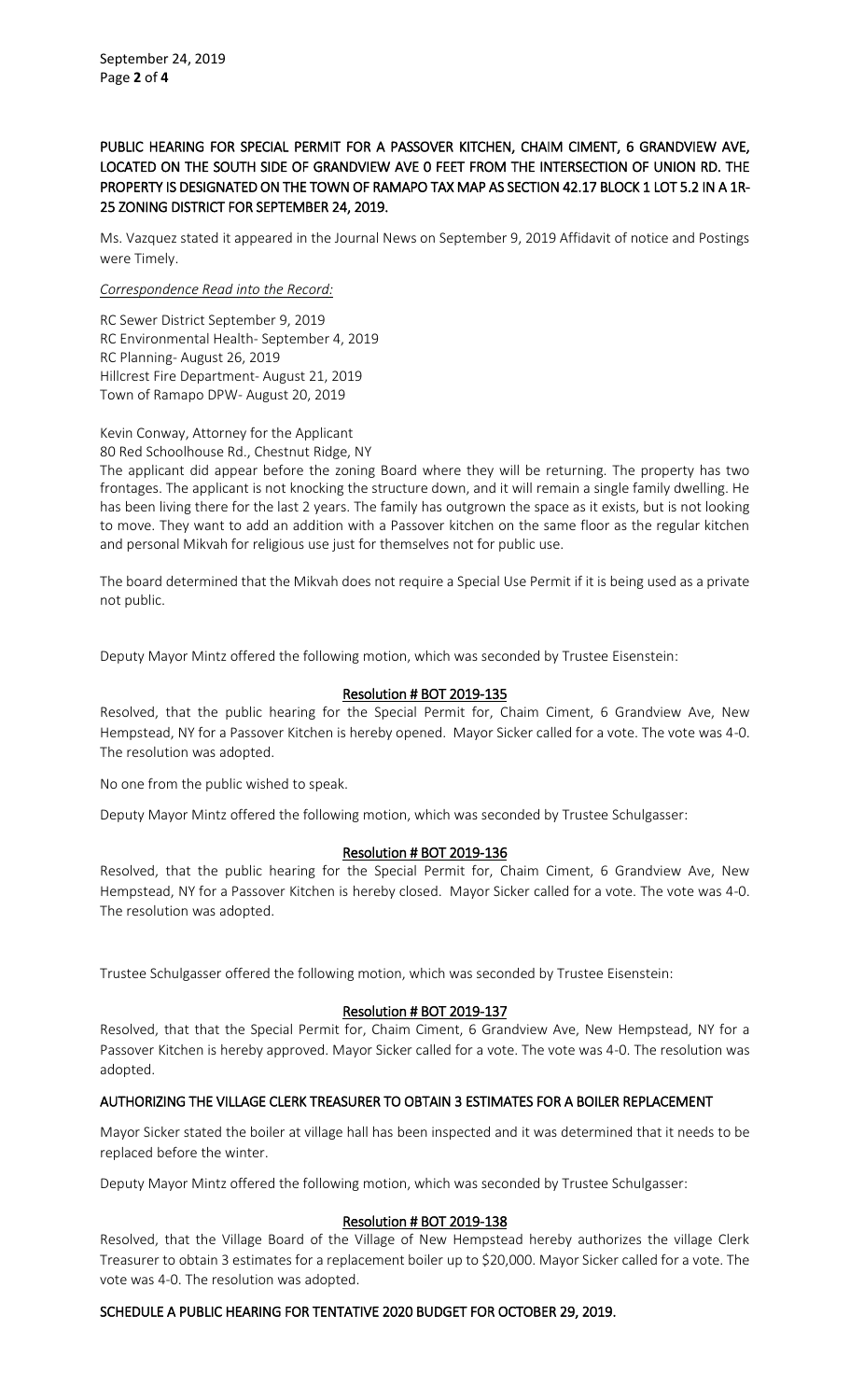# PUBLIC HEARING FOR SPECIAL PERMIT FOR A PASSOVER KITCHEN, CHAIM CIMENT, 6 GRANDVIEW AVE, LOCATED ON THE SOUTH SIDE OF GRANDVIEW AVE 0 FEET FROM THE INTERSECTION OF UNION RD. THE PROPERTY IS DESIGNATED ON THE TOWN OF RAMAPO TAX MAP AS SECTION 42.17 BLOCK 1 LOT 5.2 IN A 1R-25 ZONING DISTRICT FOR SEPTEMBER 24, 2019.

Ms. Vazquez stated it appeared in the Journal News on September 9, 2019 Affidavit of notice and Postings were Timely.

### *Correspondence Read into the Record:*

RC Sewer District September 9, 2019 RC Environmental Health- September 4, 2019 RC Planning- August 26, 2019 Hillcrest Fire Department- August 21, 2019 Town of Ramapo DPW- August 20, 2019

Kevin Conway, Attorney for the Applicant 80 Red Schoolhouse Rd., Chestnut Ridge, NY

The applicant did appear before the zoning Board where they will be returning. The property has two frontages. The applicant is not knocking the structure down, and it will remain a single family dwelling. He has been living there for the last 2 years. The family has outgrown the space as it exists, but is not looking to move. They want to add an addition with a Passover kitchen on the same floor as the regular kitchen and personal Mikvah for religious use just for themselves not for public use.

The board determined that the Mikvah does not require a Special Use Permit if it is being used as a private not public.

Deputy Mayor Mintz offered the following motion, which was seconded by Trustee Eisenstein:

### Resolution # BOT 2019-135

Resolved, that the public hearing for the Special Permit for, Chaim Ciment, 6 Grandview Ave, New Hempstead, NY for a Passover Kitchen is hereby opened. Mayor Sicker called for a vote. The vote was 4-0. The resolution was adopted.

No one from the public wished to speak.

Deputy Mayor Mintz offered the following motion, which was seconded by Trustee Schulgasser:

# Resolution # BOT 2019-136

Resolved, that the public hearing for the Special Permit for, Chaim Ciment, 6 Grandview Ave, New Hempstead, NY for a Passover Kitchen is hereby closed. Mayor Sicker called for a vote. The vote was 4-0. The resolution was adopted.

Trustee Schulgasser offered the following motion, which was seconded by Trustee Eisenstein:

### Resolution # BOT 2019-137

Resolved, that that the Special Permit for, Chaim Ciment, 6 Grandview Ave, New Hempstead, NY for a Passover Kitchen is hereby approved. Mayor Sicker called for a vote. The vote was 4-0. The resolution was adopted.

# AUTHORIZING THE VILLAGE CLERK TREASURER TO OBTAIN 3 ESTIMATES FOR A BOILER REPLACEMENT

Mayor Sicker stated the boiler at village hall has been inspected and it was determined that it needs to be replaced before the winter.

Deputy Mayor Mintz offered the following motion, which was seconded by Trustee Schulgasser:

### Resolution # BOT 2019-138

Resolved, that the Village Board of the Village of New Hempstead hereby authorizes the village Clerk Treasurer to obtain 3 estimates for a replacement boiler up to \$20,000. Mayor Sicker called for a vote. The vote was 4-0. The resolution was adopted.

# SCHEDULE A PUBLIC HEARING FOR TENTATIVE 2020 BUDGET FOR OCTOBER 29, 2019.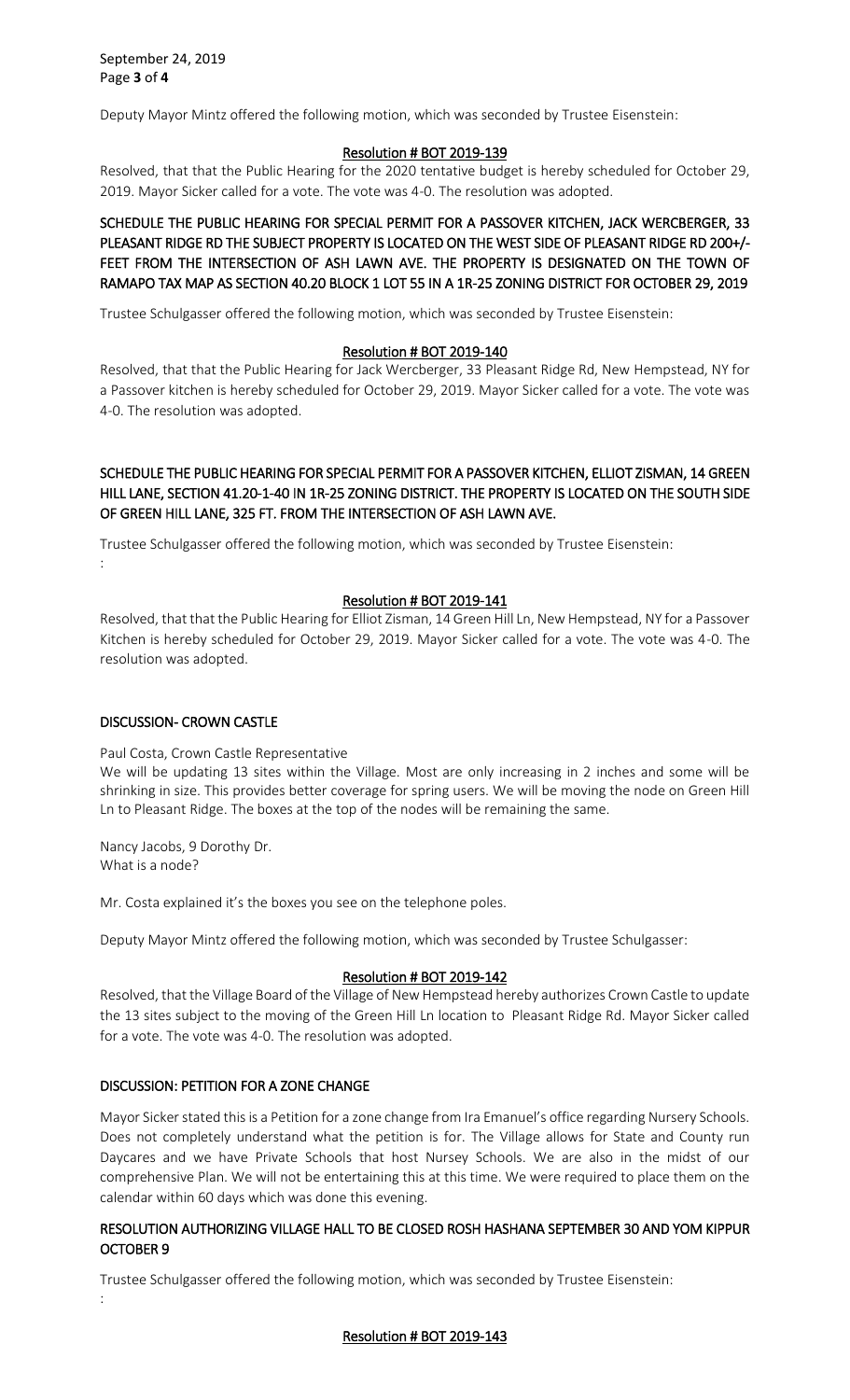Deputy Mayor Mintz offered the following motion, which was seconded by Trustee Eisenstein:

#### Resolution # BOT 2019-139

Resolved, that that the Public Hearing for the 2020 tentative budget is hereby scheduled for October 29, 2019. Mayor Sicker called for a vote. The vote was 4-0. The resolution was adopted.

SCHEDULE THE PUBLIC HEARING FOR SPECIAL PERMIT FOR A PASSOVER KITCHEN, JACK WERCBERGER, 33 PLEASANT RIDGE RD THE SUBJECT PROPERTY IS LOCATED ON THE WEST SIDE OF PLEASANT RIDGE RD 200+/- FEET FROM THE INTERSECTION OF ASH LAWN AVE. THE PROPERTY IS DESIGNATED ON THE TOWN OF RAMAPO TAX MAP AS SECTION 40.20 BLOCK 1 LOT 55 IN A 1R-25 ZONING DISTRICT FOR OCTOBER 29, 2019

Trustee Schulgasser offered the following motion, which was seconded by Trustee Eisenstein:

### Resolution # BOT 2019-140

Resolved, that that the Public Hearing for Jack Wercberger, 33 Pleasant Ridge Rd, New Hempstead, NY for a Passover kitchen is hereby scheduled for October 29, 2019. Mayor Sicker called for a vote. The vote was 4-0. The resolution was adopted.

# SCHEDULE THE PUBLIC HEARING FOR SPECIAL PERMIT FOR A PASSOVER KITCHEN, ELLIOT ZISMAN, 14 GREEN HILL LANE, SECTION 41.20-1-40 IN 1R-25 ZONING DISTRICT. THE PROPERTY IS LOCATED ON THE SOUTH SIDE OF GREEN HILL LANE, 325 FT. FROM THE INTERSECTION OF ASH LAWN AVE.

Trustee Schulgasser offered the following motion, which was seconded by Trustee Eisenstein: :

### Resolution # BOT 2019-141

Resolved, that that the Public Hearing for Elliot Zisman, 14 Green Hill Ln, New Hempstead, NY for a Passover Kitchen is hereby scheduled for October 29, 2019. Mayor Sicker called for a vote. The vote was 4-0. The resolution was adopted.

# DISCUSSION- CROWN CASTLE

### Paul Costa, Crown Castle Representative

We will be updating 13 sites within the Village. Most are only increasing in 2 inches and some will be shrinking in size. This provides better coverage for spring users. We will be moving the node on Green Hill Ln to Pleasant Ridge. The boxes at the top of the nodes will be remaining the same.

Nancy Jacobs, 9 Dorothy Dr. What is a node?

Mr. Costa explained it's the boxes you see on the telephone poles.

Deputy Mayor Mintz offered the following motion, which was seconded by Trustee Schulgasser:

### Resolution # BOT 2019-142

Resolved, that the Village Board of the Village of New Hempstead hereby authorizes Crown Castle to update the 13 sites subject to the moving of the Green Hill Ln location to Pleasant Ridge Rd. Mayor Sicker called for a vote. The vote was 4-0. The resolution was adopted.

### DISCUSSION: PETITION FOR A ZONE CHANGE

Mayor Sicker stated this is a Petition for a zone change from Ira Emanuel's office regarding Nursery Schools. Does not completely understand what the petition is for. The Village allows for State and County run Daycares and we have Private Schools that host Nursey Schools. We are also in the midst of our comprehensive Plan. We will not be entertaining this at this time. We were required to place them on the calendar within 60 days which was done this evening.

## RESOLUTION AUTHORIZING VILLAGE HALL TO BE CLOSED ROSH HASHANA SEPTEMBER 30 AND YOM KIPPUR OCTOBER 9

Trustee Schulgasser offered the following motion, which was seconded by Trustee Eisenstein: :

# Resolution # BOT 2019-143